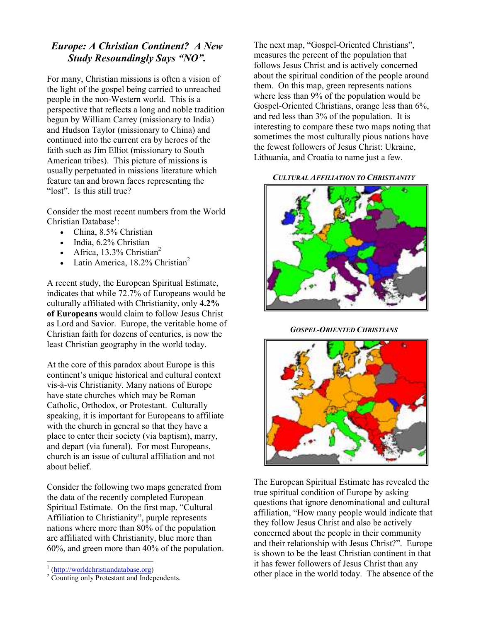# Europe: A Christian Continent? A New Study Resoundingly Says "NO".

For many, Christian missions is often a vision of the light of the gospel being carried to unreached people in the non-Western world. This is a perspective that reflects a long and noble tradition begun by William Carrey (missionary to India) and Hudson Taylor (missionary to China) and continued into the current era by heroes of the faith such as Jim Elliot (missionary to South American tribes). This picture of missions is usually perpetuated in missions literature which feature tan and brown faces representing the "lost". Is this still true?

Consider the most recent numbers from the World Christian Database<sup>1</sup>:

- China, 8.5% Christian
- India, 6.2% Christian
- Africa,  $13.3\%$  Christian<sup>2</sup>
- Latin America,  $18.2\%$  Christian<sup>2</sup>

A recent study, the European Spiritual Estimate, indicates that while 72.7% of Europeans would be culturally affiliated with Christianity, only 4.2% of Europeans would claim to follow Jesus Christ as Lord and Savior. Europe, the veritable home of Christian faith for dozens of centuries, is now the least Christian geography in the world today.

At the core of this paradox about Europe is this continent's unique historical and cultural context vis-à-vis Christianity. Many nations of Europe have state churches which may be Roman Catholic, Orthodox, or Protestant. Culturally speaking, it is important for Europeans to affiliate with the church in general so that they have a place to enter their society (via baptism), marry, and depart (via funeral). For most Europeans, church is an issue of cultural affiliation and not about belief.

Consider the following two maps generated from the data of the recently completed European Spiritual Estimate. On the first map, "Cultural Affiliation to Christianity", purple represents nations where more than 80% of the population are affiliated with Christianity, blue more than 60%, and green more than 40% of the population. The next map, "Gospel-Oriented Christians", measures the percent of the population that follows Jesus Christ and is actively concerned about the spiritual condition of the people around them. On this map, green represents nations where less than 9% of the population would be Gospel-Oriented Christians, orange less than 6%, and red less than 3% of the population. It is interesting to compare these two maps noting that sometimes the most culturally pious nations have the fewest followers of Jesus Christ: Ukraine, Lithuania, and Croatia to name just a few.

## CULTURAL AFFILIATION TO CHRISTIANITY



GOSPEL-ORIENTED CHRISTIANS



The European Spiritual Estimate has revealed the true spiritual condition of Europe by asking questions that ignore denominational and cultural affiliation, "How many people would indicate that they follow Jesus Christ and also be actively concerned about the people in their community and their relationship with Jesus Christ?". Europe is shown to be the least Christian continent in that it has fewer followers of Jesus Christ than any other place in the world today. The absence of the

 1 (http://worldchristiandatabase.org)

<sup>&</sup>lt;sup>2</sup> Counting only Protestant and Independents.